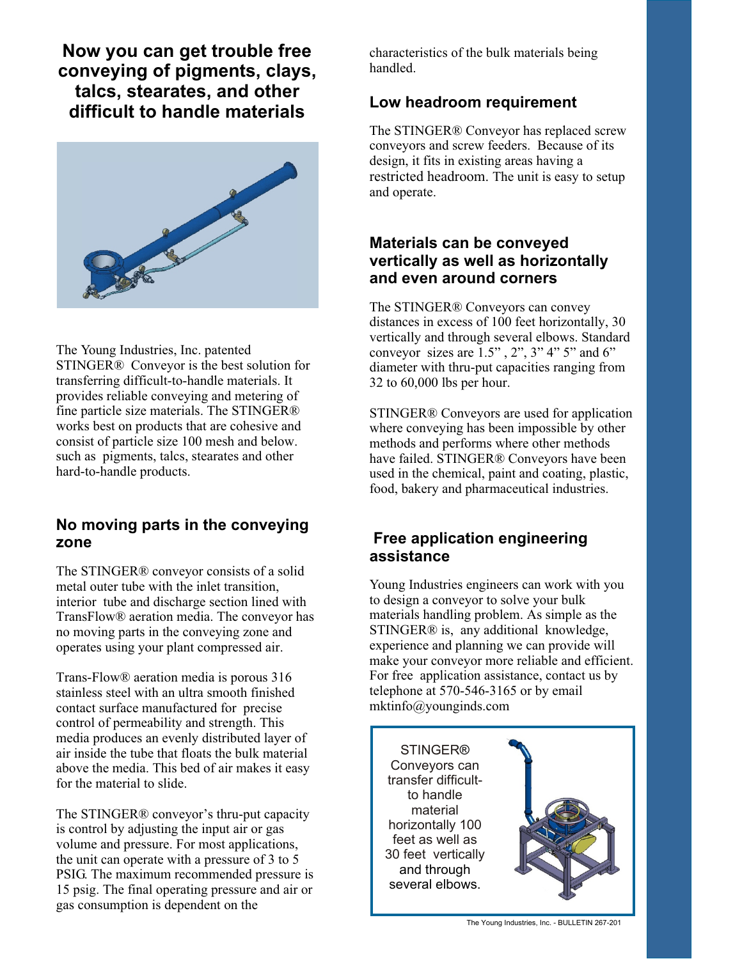**Now you can get trouble free Now you can get trouble free** characteristics of the bulk materials being conveying of pigments, clays, handled. **talcs, stearates, and other difficult to handle materials** 



The Young Industries, Inc. patented STINGER® Conveyor is the best solution for transferring difficult-to-handle materials. It provides reliable conveying and metering of fine particle size materials. The STINGER® works best on products that are cohesive and consist of particle size 100 mesh and below. such as pigments, talcs, stearates and other hard-to-handle products.

#### **No moving parts in the conveying zone**

The STINGER® conveyor consists of a solid metal outer tube with the inlet transition, interior tube and discharge section lined with TransFlow® aeration media. The conveyor has no moving parts in the conveying zone and operates using your plant compressed air.

Trans-Flow® aeration media is porous 316 stainless steel with an ultra smooth finished contact surface manufactured for precise control of permeability and strength. This media produces an evenly distributed layer of air inside the tube that floats the bulk material above the media. This bed of air makes it easy for the material to slide.

The STINGER® conveyor's thru-put capacity is control by adjusting the input air or gas volume and pressure. For most applications, the unit can operate with a pressure of 3 to 5 PSIG. The maximum recommended pressure is 15 psig. The final operating pressure and air or gas consumption is dependent on the

handled.

### **Low headroom requirement**

The STINGER® Conveyor has replaced screw conveyors and screw feeders. Because of its design, it fits in existing areas having a restricted headroom. The unit is easy to setup and operate.

## **Materials can be conveyed vertically as well as horizontally and even around corners**

The STINGER® Conveyors can convey distances in excess of 100 feet horizontally, 30 vertically and through several elbows. Standard conveyor sizes are  $1.5$ ",  $2$ ",  $3$ "  $4$ "  $5$ " and  $6$ " diameter with thru-put capacities ranging from 32 to 60,000 lbs per hour.

STINGER® Conveyors are used for application where conveying has been impossible by other methods and performs where other methods have failed. STINGER® Conveyors have been used in the chemical, paint and coating, plastic, food, bakery and pharmaceutical industries.

## **Free application engineering assistance**

Young Industries engineers can work with you to design a conveyor to solve your bulk materials handling problem. As simple as the STINGER® is, any additional knowledge, experience and planning we can provide will make your conveyor more reliable and efficient. For free application assistance, contact us by telephone at 570-546-3165 or by email mktinfo@younginds.com

**STINGER®** Conveyors can transfer difficultto handle material horizontally 100 feet as well as 30 feet vertically STINGER®<br>
onveyors can<br>
ansfer difficul<br>
to handle<br>
material<br>
prizontally 10<br>
set as well as<br>
feet vertical<br>
and through several elbows.